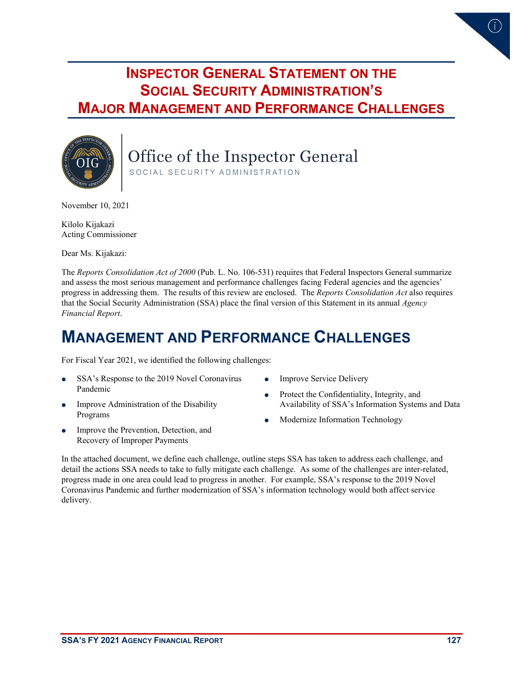# **INSPECTOR GENERAL STATEMENT ON THE SOCIAL SECURITY ADMINISTRATION'S MAJOR MANAGEMENT AND PERFORMANCE CHALLENGES**



Office of the Inspector General SOCIAL SECURITY ADMINISTRATION

November 10, 2021

Kilolo Kijakazi Acting Commissioner

Dear Ms. Kijakazi:

The *Reports Consolidation Act of 2000* (Pub. L. No. 106-531) requires that Federal Inspectors General summarize and assess the most serious management and performance challenges facing Federal agencies and the agencies' progress in addressing them. The results of this review are enclosed. The *Reports Consolidation Act* also requires that the Social Security Administration (SSA) place the final version of this Statement in its annual *Agency Financial Report*.

# **MANAGEMENT AND PERFORMANCE CHALLENGES**

For Fiscal Year 2021, we identified the following challenges:

- SSA's Response to the 2019 Novel Coronavirus Pandemic
- Improve Administration of the Disability Programs
- Improve the Prevention, Detection, and Recovery of Improper Payments
- Improve Service Delivery
- Protect the Confidentiality, Integrity, and Availability of SSA's Information Systems and Data
- Modernize Information Technology

In the attached document, we define each challenge, outline steps SSA has taken to address each challenge, and detail the actions SSA needs to take to fully mitigate each challenge. As some of the challenges are inter-related, progress made in one area could lead to progress in another. For example, SSA's response to the 2019 Novel Coronavirus Pandemic and further modernization of SSA's information technology would both affect service delivery.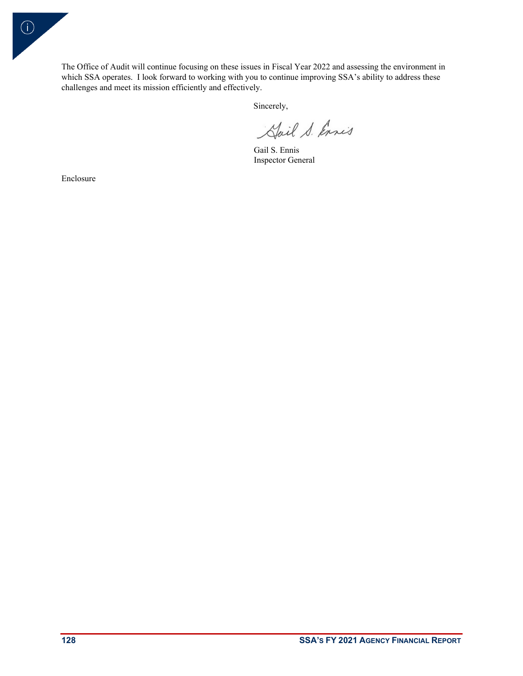The Office of Audit will continue focusing on these issues in Fiscal Year 2022 and assessing the environment in which SSA operates. I look forward to working with you to continue improving SSA's ability to address these challenges and meet its mission efficiently and effectively.

Sincerely,

Hail S. Ennis

Gail S. Ennis Inspector General

Enclosure

 $\bigcirc$ 

**128 SSA'S FY 2021 AGENCY FINANCIAL REPORT**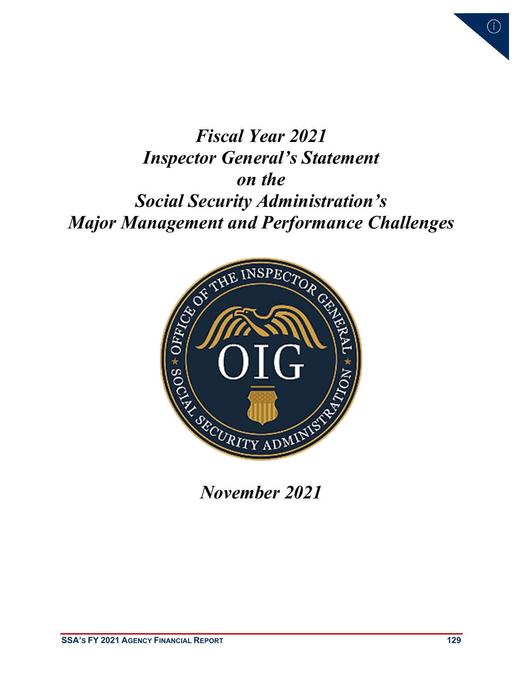

# *Fiscal Year 2021 Inspector General's Statement on the Social Security Administration's Major Management and Performance Challenges*



*November 2021*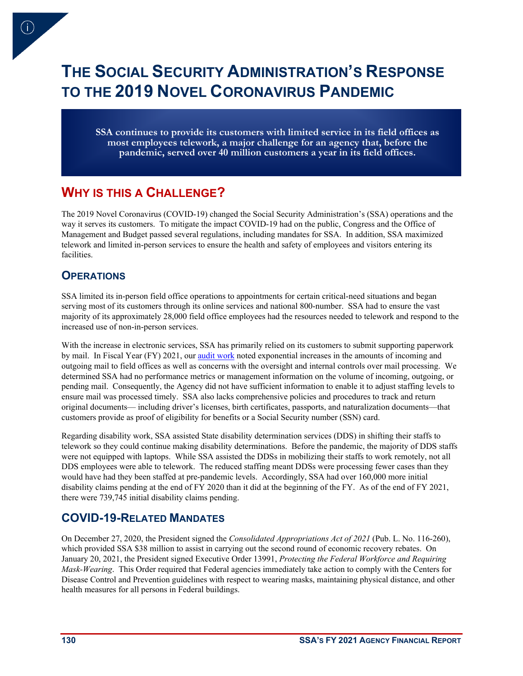# **THE SOCIAL SECURITY ADMINISTRATION'S RESPONSE TO THE 2019 NOVEL CORONAVIRUS PANDEMIC**

**SSA continues to provide its customers with limited service in its field offices as most employees telework, a major challenge for an agency that, before the pandemic, served over 40 million customers a year in its field offices.**

# **WHY IS THIS A CHALLENGE?**

The 2019 Novel Coronavirus (COVID-19) changed the Social Security Administration's (SSA) operations and the way it serves its customers. To mitigate the impact COVID-19 had on the public, Congress and the Office of Management and Budget passed several regulations, including mandates for SSA. In addition, SSA maximized telework and limited in-person services to ensure the health and safety of employees and visitors entering its facilities.

#### **OPERATIONS**

SSA limited its in-person field office operations to appointments for certain critical-need situations and began serving most of its customers through its online services and national 800-number. SSA had to ensure the vast majority of its approximately 28,000 field office employees had the resources needed to telework and respond to the increased use of non-in-person services.

With the increase in electronic services, SSA has primarily relied on its customers to submit supporting paperwork by mail. In Fiscal Year (FY) 2021, ou[r audit work](https://oig.ssa.gov/audit-reports/2021-07-29-audits-and-investigations-audit-reports-interim-report-social-security-administrations-processing/) noted exponential increases in the amounts of incoming and outgoing mail to field offices as well as concerns with the oversight and internal controls over mail processing. We determined SSA had no performance metrics or management information on the volume of incoming, outgoing, or pending mail. Consequently, the Agency did not have sufficient information to enable it to adjust staffing levels to ensure mail was processed timely. SSA also lacks comprehensive policies and procedures to track and return original documents— including driver's licenses, birth certificates, passports, and naturalization documents—that customers provide as proof of eligibility for benefits or a Social Security number (SSN) card.

Regarding disability work, SSA assisted State disability determination services (DDS) in shifting their staffs to telework so they could continue making disability determinations. Before the pandemic, the majority of DDS staffs were not equipped with laptops. While SSA assisted the DDSs in mobilizing their staffs to work remotely, not all DDS employees were able to telework. The reduced staffing meant DDSs were processing fewer cases than they would have had they been staffed at pre-pandemic levels. Accordingly, SSA had over 160,000 more initial disability claims pending at the end of FY 2020 than it did at the beginning of the FY. As of the end of FY 2021, there were 739,745 initial disability claims pending.

### **COVID-19-RELATED MANDATES**

On December 27, 2020, the President signed the *Consolidated Appropriations Act of 2021* (Pub. L. No. 116-260), which provided SSA \$38 million to assist in carrying out the second round of economic recovery rebates. On January 20, 2021, the President signed Executive Order 13991, *Protecting the Federal Workforce and Requiring Mask-Wearing*. This Order required that Federal agencies immediately take action to comply with the Centers for Disease Control and Prevention guidelines with respect to wearing masks, maintaining physical distance, and other health measures for all persons in Federal buildings.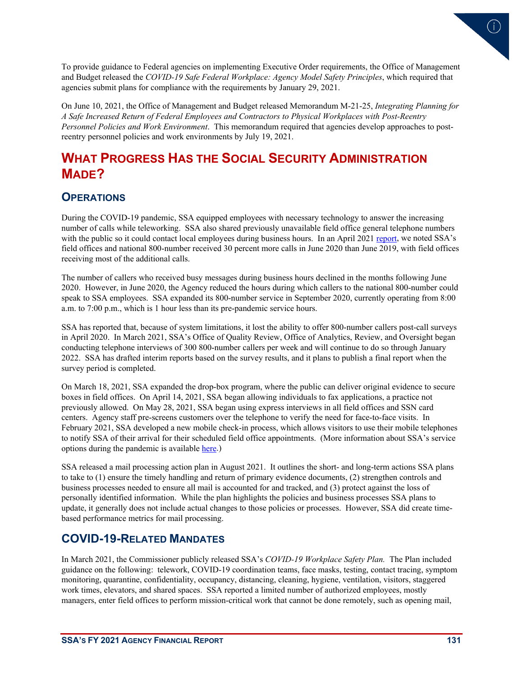

To provide guidance to Federal agencies on implementing Executive Order requirements, the Office of Management and Budget released the *COVID-19 Safe Federal Workplace: Agency Model Safety Principles*, which required that agencies submit plans for compliance with the requirements by January 29, 2021.

On June 10, 2021, the Office of Management and Budget released Memorandum M-21-25, *Integrating Planning for A Safe Increased Return of Federal Employees and Contractors to Physical Workplaces with Post-Reentry Personnel Policies and Work Environment*. This memorandum required that agencies develop approaches to postreentry personnel policies and work environments by July 19, 2021.

# **WHAT PROGRESS HAS THE SOCIAL SECURITY ADMINISTRATION MADE?**

#### **OPERATIONS**

During the COVID-19 pandemic, SSA equipped employees with necessary technology to answer the increasing number of calls while teleworking. SSA also shared previously unavailable field office general telephone numbers with the public so it could contact local employees during business hours. In an April 2021 [report,](https://oig.ssa.gov/audit-reports/2021-04-08-audits-and-investigations-audit-reports-A-05-20-50998/) we noted SSA's field offices and national 800-number received 30 percent more calls in June 2020 than June 2019, with field offices receiving most of the additional calls.

The number of callers who received busy messages during business hours declined in the months following June 2020. However, in June 2020, the Agency reduced the hours during which callers to the national 800-number could speak to SSA employees. SSA expanded its 800-number service in September 2020, currently operating from 8:00 a.m. to 7:00 p.m., which is 1 hour less than its pre-pandemic service hours.

SSA has reported that, because of system limitations, it lost the ability to offer 800-number callers post-call surveys in April 2020. In March 2021, SSA's Office of Quality Review, Office of Analytics, Review, and Oversight began conducting telephone interviews of 300 800-number callers per week and will continue to do so through January 2022. SSA has drafted interim reports based on the survey results, and it plans to publish a final report when the survey period is completed.

On March 18, 2021, SSA expanded the drop-box program, where the public can deliver original evidence to secure boxes in field offices. On April 14, 2021, SSA began allowing individuals to fax applications, a practice not previously allowed. On May 28, 2021, SSA began using express interviews in all field offices and SSN card centers. Agency staff pre-screens customers over the telephone to verify the need for face-to-face visits. In February 2021, SSA developed a new mobile check-in process, which allows visitors to use their mobile telephones to notify SSA of their arrival for their scheduled field office appointments. (More information about SSA's service options during the pandemic is available [here.](https://www.ssa.gov/coronavirus/))

SSA released a mail processing action plan in August 2021. It outlines the short- and long-term actions SSA plans to take to (1) ensure the timely handling and return of primary evidence documents, (2) strengthen controls and business processes needed to ensure all mail is accounted for and tracked, and (3) protect against the loss of personally identified information. While the plan highlights the policies and business processes SSA plans to update, it generally does not include actual changes to those policies or processes. However, SSA did create timebased performance metrics for mail processing.

#### **COVID-19-RELATED MANDATES**

In March 2021, the Commissioner publicly released SSA's *COVID-19 Workplace Safety Plan.* The Plan included guidance on the following: telework, COVID-19 coordination teams, face masks, testing, contact tracing, symptom monitoring, quarantine, confidentiality, occupancy, distancing, cleaning, hygiene, ventilation, visitors, staggered work times, elevators, and shared spaces. SSA reported a limited number of authorized employees, mostly managers, enter field offices to perform mission-critical work that cannot be done remotely, such as opening mail,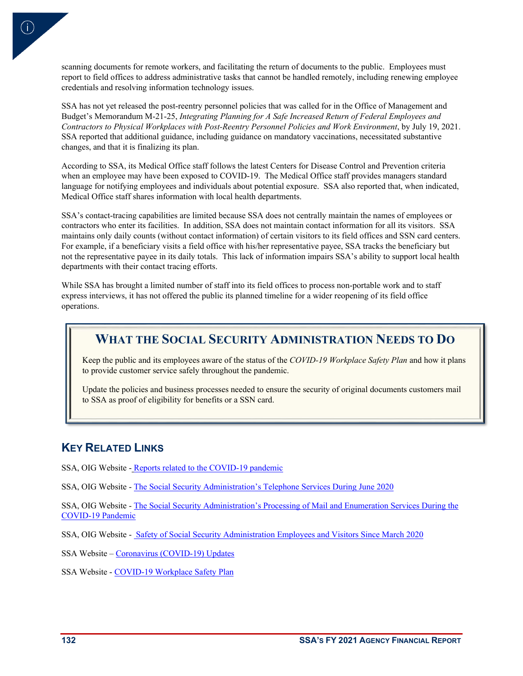scanning documents for remote workers, and facilitating the return of documents to the public. Employees must report to field offices to address administrative tasks that cannot be handled remotely, including renewing employee credentials and resolving information technology issues.

SSA has not yet released the post-reentry personnel policies that was called for in the Office of Management and Budget's Memorandum M-21-25, *Integrating Planning for A Safe Increased Return of Federal Employees and Contractors to Physical Workplaces with Post-Reentry Personnel Policies and Work Environment*, by July 19, 2021. SSA reported that additional guidance, including guidance on mandatory vaccinations, necessitated substantive changes, and that it is finalizing its plan.

According to SSA, its Medical Office staff follows the latest Centers for Disease Control and Prevention criteria when an employee may have been exposed to COVID-19. The Medical Office staff provides managers standard language for notifying employees and individuals about potential exposure. SSA also reported that, when indicated, Medical Office staff shares information with local health departments.

SSA's contact-tracing capabilities are limited because SSA does not centrally maintain the names of employees or contractors who enter its facilities. In addition, SSA does not maintain contact information for all its visitors. SSA maintains only daily counts (without contact information) of certain visitors to its field offices and SSN card centers. For example, if a beneficiary visits a field office with his/her representative payee, SSA tracks the beneficiary but not the representative payee in its daily totals. This lack of information impairs SSA's ability to support local health departments with their contact tracing efforts.

While SSA has brought a limited number of staff into its field offices to process non-portable work and to staff express interviews, it has not offered the public its planned timeline for a wider reopening of its field office operations.

#### **WHAT THE SOCIAL SECURITY ADMINISTRATION NEEDS TO DO**

Keep the public and its employees aware of the status of the COVID-19 Workplace Safety Plan and how it plans to provide customer service safely throughout the pandemic.

Update the policies and business processes needed to ensure the security of original documents customers mail to SSA as proof of eligibility for benefits or a SSN card.

#### **KEY RELATED LINKS**

SSA, OIG Website [- Reports related to the COVID-19 pandemic](https://oig.ssa.gov/audit-reports/2019-coronavirus-pandemic/)

SSA, OIG Website [- The Social Security Administration's Telephone Services During June 2020](https://oig-files.ssa.gov/audits/full/A-05-20-50998_0.pdf)

SSA, OIG Website [- The Social Security Administration's Processing of Mail and Enumeration Services During the](https://oig-files.ssa.gov/audits/full/A-08-21-51036InterimReport.pdf)  [COVID-19 Pandemic](https://oig-files.ssa.gov/audits/full/A-08-21-51036InterimReport.pdf)

SSA, OIG Website [- Safety of Social Security Administration Employees and Visitors Since March 2020](https://oig-files.ssa.gov/audits/full/A-15-20-51001_0.pdf)

SSA Website [– Coronavirus \(COVID-19\) Updates](https://www.ssa.gov/coronavirus/) 

SSA Website - [COVID-19 Workplace Safety Plan](https://www.ssa.gov/coronavirus/assets/materials/ssa-covid-19-workplace-safety-plan.pdf)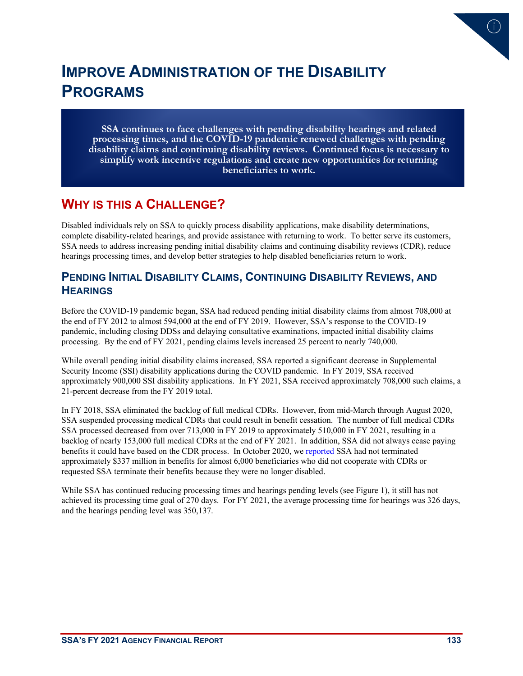

# **IMPROVE ADMINISTRATION OF THE DISABILITY PROGRAMS**

**SSA continues to face challenges with pending disability hearings and related processing times, and the COVID-19 pandemic renewed challenges with pending disability claims and continuing disability reviews. Continued focus is necessary to simplify work incentive regulations and create new opportunities for returning beneficiaries to work.**

# **WHY IS THIS A CHALLENGE?**

Disabled individuals rely on SSA to quickly process disability applications, make disability determinations, complete disability-related hearings, and provide assistance with returning to work. To better serve its customers, SSA needs to address increasing pending initial disability claims and continuing disability reviews (CDR), reduce hearings processing times, and develop better strategies to help disabled beneficiaries return to work.

#### **PENDING INITIAL DISABILITY CLAIMS, CONTINUING DISABILITY REVIEWS, AND HEARINGS**

Before the COVID-19 pandemic began, SSA had reduced pending initial disability claims from almost 708,000 at the end of FY 2012 to almost 594,000 at the end of FY 2019. However, SSA's response to the COVID-19 pandemic, including closing DDSs and delaying consultative examinations, impacted initial disability claims processing. By the end of FY 2021, pending claims levels increased 25 percent to nearly 740,000.

While overall pending initial disability claims increased, SSA reported a significant decrease in Supplemental Security Income (SSI) disability applications during the COVID pandemic. In FY 2019, SSA received approximately 900,000 SSI disability applications. In FY 2021, SSA received approximately 708,000 such claims, a 21-percent decrease from the FY 2019 total.

In FY 2018, SSA eliminated the backlog of full medical CDRs. However, from mid-March through August 2020, SSA suspended processing medical CDRs that could result in benefit cessation. The number of full medical CDRs SSA processed decreased from over 713,000 in FY 2019 to approximately 510,000 in FY 2021, resulting in a backlog of nearly 153,000 full medical CDRs at the end of FY 2021. In addition, SSA did not always cease paying benefits it could have based on the CDR process. In October 2020, we [reported](https://oig.ssa.gov/audit-reports/2020-10-21-audits-and-investigations-audit-reports-A-09-18-50523/) SSA had not terminated approximately \$337 million in benefits for almost 6,000 beneficiaries who did not cooperate with CDRs or requested SSA terminate their benefits because they were no longer disabled.

While SSA has continued reducing processing times and hearings pending levels (see [Figure 1\)](#page-7-0), it still has not achieved its processing time goal of 270 days. For FY 2021, the average processing time for hearings was 326 days, and the hearings pending level was 350,137.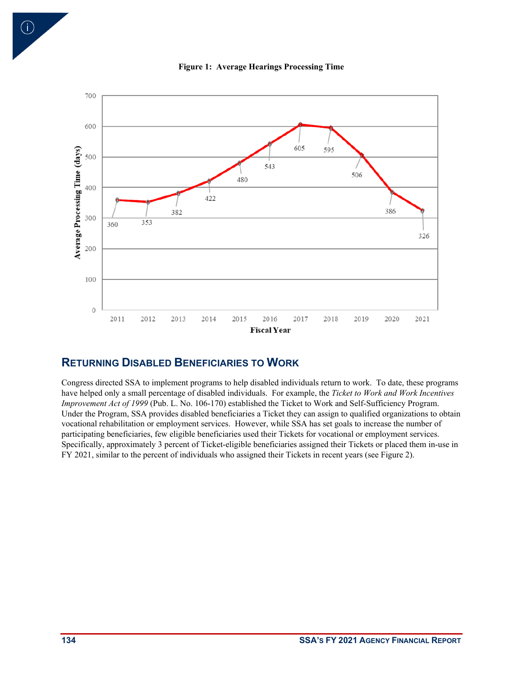<span id="page-7-0"></span>



#### **RETURNING DISABLED BENEFICIARIES TO WORK**

Congress directed SSA to implement programs to help disabled individuals return to work. To date, these programs have helped only a small percentage of disabled individuals. For example, the *Ticket to Work and Work Incentives Improvement Act of 1999* (Pub. L. No. 106-170) established the Ticket to Work and Self-Sufficiency Program. Under the Program, SSA provides disabled beneficiaries a Ticket they can assign to qualified organizations to obtain vocational rehabilitation or employment services. However, while SSA has set goals to increase the number of participating beneficiaries, few eligible beneficiaries used their Tickets for vocational or employment services. Specifically, approximately 3 percent of Ticket-eligible beneficiaries assigned their Tickets or placed them in-use in FY 2021, similar to the percent of individuals who assigned their Tickets in recent years (see [Figure 2\)](#page-8-0).

 $\bigodot$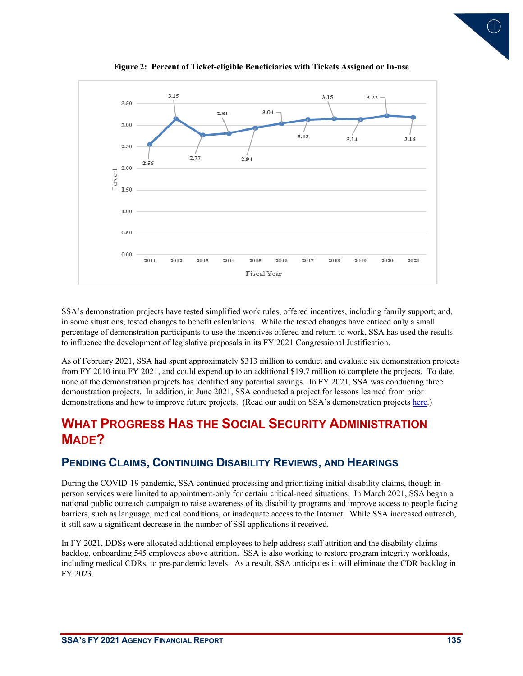<span id="page-8-0"></span>

**Figure 2: Percent of Ticket-eligible Beneficiaries with Tickets Assigned or In-use** 

SSA's demonstration projects have tested simplified work rules; offered incentives, including family support; and, in some situations, tested changes to benefit calculations. While the tested changes have enticed only a small percentage of demonstration participants to use the incentives offered and return to work, SSA has used the results to influence the development of legislative proposals in its FY 2021 Congressional Justification.

As of February 2021, SSA had spent approximately \$313 million to conduct and evaluate six demonstration projects from FY 2010 into FY 2021, and could expend up to an additional \$19.7 million to complete the projects. To date, none of the demonstration projects has identified any potential savings. In FY 2021, SSA was conducting three demonstration projects. In addition, in June 2021, SSA conducted a project for lessons learned from prior demonstrations and how to improve future projects. (Read our audit on SSA's demonstration projects [here.](https://oig.ssa.gov/audit-reports/2021-06-14-audits-and-investigations-audit-reports-A-04-19-50881/))

# **WHAT PROGRESS HAS THE SOCIAL SECURITY ADMINISTRATION MADE?**

#### **PENDING CLAIMS, CONTINUING DISABILITY REVIEWS, AND HEARINGS**

During the COVID-19 pandemic, SSA continued processing and prioritizing initial disability claims, though inperson services were limited to appointment-only for certain critical-need situations. In March 2021, SSA began a national public outreach campaign to raise awareness of its disability programs and improve access to people facing barriers, such as language, medical conditions, or inadequate access to the Internet. While SSA increased outreach, it still saw a significant decrease in the number of SSI applications it received.

In FY 2021, DDSs were allocated additional employees to help address staff attrition and the disability claims backlog, onboarding 545 employees above attrition. SSA is also working to restore program integrity workloads, including medical CDRs, to pre-pandemic levels. As a result, SSA anticipates it will eliminate the CDR backlog in FY 2023.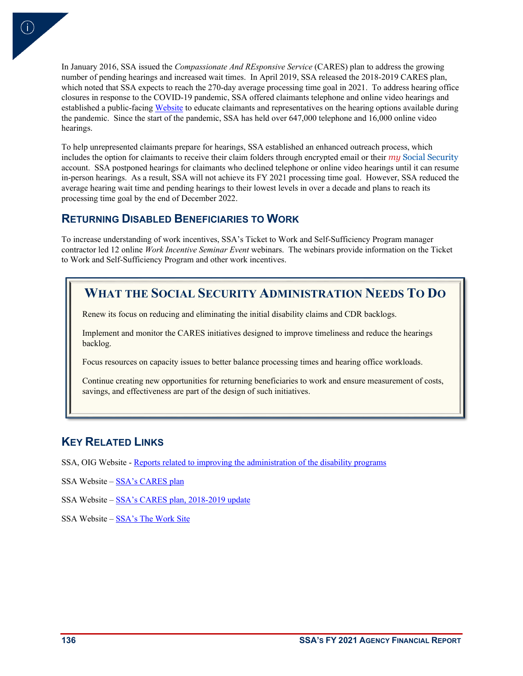In January 2016, SSA issued the *Compassionate And REsponsive Service* (CARES) plan to address the growing number of pending hearings and increased wait times. In April 2019, SSA released the 2018-2019 CARES plan, which noted that SSA expects to reach the 270-day average processing time goal in 2021. To address hearing office closures in response to the COVID-19 pandemic, SSA offered claimants telephone and online video hearings and established a public-facin[g Website](https://www.ssa.gov/appeals/hearing_options.html) to educate claimants and representatives on the hearing options available during the pandemic. Since the start of the pandemic, SSA has held over 647,000 telephone and 16,000 online video hearings.

To help unrepresented claimants prepare for hearings, SSA established an enhanced outreach process, which includes the option for claimants to receive their claim folders through encrypted email or their *my* Social Security account. SSA postponed hearings for claimants who declined telephone or online video hearings until it can resume in-person hearings. As a result, SSA will not achieve its FY 2021 processing time goal. However, SSA reduced the average hearing wait time and pending hearings to their lowest levels in over a decade and plans to reach its processing time goal by the end of December 2022.

#### **RETURNING DISABLED BENEFICIARIES TO WORK**

To increase understanding of work incentives, SSA's Ticket to Work and Self-Sufficiency Program manager contractor led 12 online *Work Incentive Seminar Event* webinars. The webinars provide information on the Ticket to Work and Self-Sufficiency Program and other work incentives.

# **WHAT THE SOCIAL SECURITY ADMINISTRATION NEEDS TO DO**

Renew its focus on reducing and eliminating the initial disability claims and CDR backlogs.

Implement and monitor the CARES initiatives designed to improve timeliness and reduce the hearings backlog.

Focus resources on capacity issues to better balance processing times and hearing office workloads.

Continue creating new opportunities for returning beneficiaries to work and ensure measurement of costs, savings, and effectiveness are part of the design of such initiatives.

#### **KEY RELATED LINKS**

SSA, OIG Website [- Reports related to improving the administration of the disability programs](https://oig.ssa.gov/audit-reports/improve-disability-program-admin/)

SSA Website [– SSA's CARES plan](https://www.ssa.gov/appeals/documents/cares_plan_2016.pdf)

SSA Website [– SSA's CARES plan,](https://www.ssa.gov/appeals/documents/2018-2019_CARES_Plan-Disability_Hearings_Backlog.pdf) 2018-2019 update

SSA Website [– SSA's The Work Site](https://www.ssa.gov/work/)

 $\mathsf{i}$ )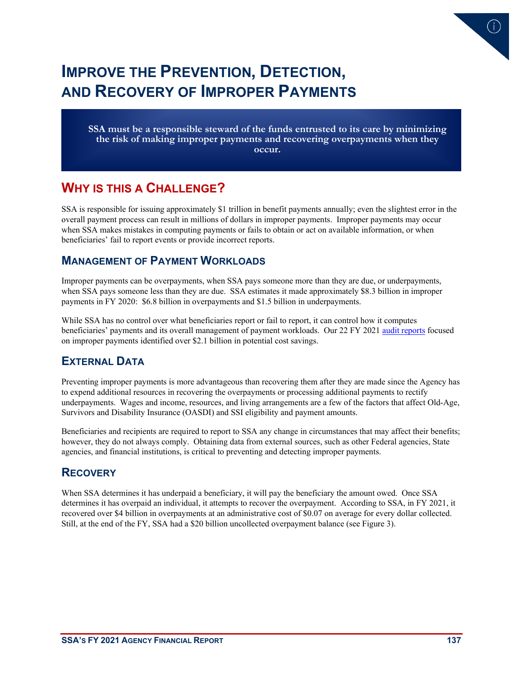# **IMPROVE THE PREVENTION, DETECTION, AND RECOVERY OF IMPROPER PAYMENTS**

**SSA must be a responsible steward of the funds entrusted to its care by minimizing the risk of making improper payments and recovering overpayments when they occur.**

# **WHY IS THIS A CHALLENGE?**

SSA is responsible for issuing approximately \$1 trillion in benefit payments annually; even the slightest error in the overall payment process can result in millions of dollars in improper payments. Improper payments may occur when SSA makes mistakes in computing payments or fails to obtain or act on available information, or when beneficiaries' fail to report events or provide incorrect reports.

#### **MANAGEMENT OF PAYMENT WORKLOADS**

Improper payments can be overpayments, when SSA pays someone more than they are due, or underpayments, when SSA pays someone less than they are due. SSA estimates it made approximately \$8.3 billion in improper payments in FY 2020: \$6.8 billion in overpayments and \$1.5 billion in underpayments.

While SSA has no control over what beneficiaries report or fail to report, it can control how it computes beneficiaries' payments and its overall management of payment workloads. Our 22 FY 202[1 audit reports](https://oig.ssa.gov/audit-reports/improve-prevention-improper-payments/) focused on improper payments identified over \$2.1 billion in potential cost savings.

### **EXTERNAL DATA**

Preventing improper payments is more advantageous than recovering them after they are made since the Agency has to expend additional resources in recovering the overpayments or processing additional payments to rectify underpayments. Wages and income, resources, and living arrangements are a few of the factors that affect Old-Age, Survivors and Disability Insurance (OASDI) and SSI eligibility and payment amounts.

Beneficiaries and recipients are required to report to SSA any change in circumstances that may affect their benefits; however, they do not always comply. Obtaining data from external sources, such as other Federal agencies, State agencies, and financial institutions, is critical to preventing and detecting improper payments.

#### **RECOVERY**

When SSA determines it has underpaid a beneficiary, it will pay the beneficiary the amount owed. Once SSA determines it has overpaid an individual, it attempts to recover the overpayment. According to SSA, in FY 2021, it recovered over \$4 billion in overpayments at an administrative cost of \$0.07 on average for every dollar collected. Still, at the end of the FY, SSA had a \$20 billion uncollected overpayment balance (see [Figure 3\)](#page-11-0).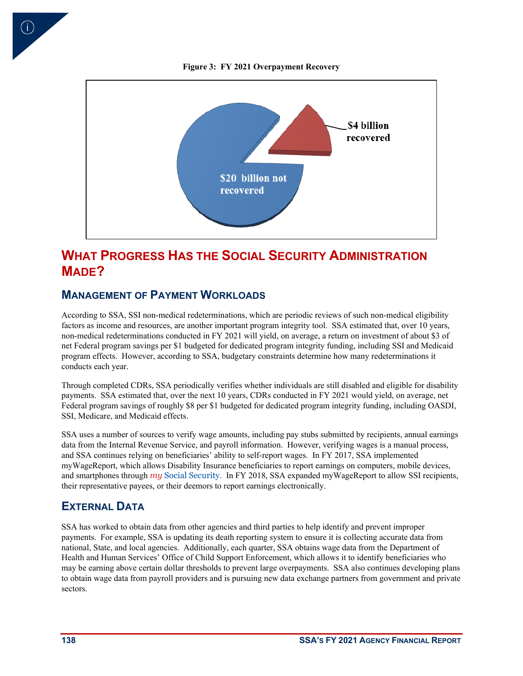

<span id="page-11-0"></span>

# **WHAT PROGRESS HAS THE SOCIAL SECURITY ADMINISTRATION MADE?**

#### **MANAGEMENT OF PAYMENT WORKLOADS**

According to SSA, SSI non-medical redeterminations, which are periodic reviews of such non-medical eligibility factors as income and resources, are another important program integrity tool. SSA estimated that, over 10 years, non-medical redeterminations conducted in FY 2021 will yield, on average, a return on investment of about \$3 of net Federal program savings per \$1 budgeted for dedicated program integrity funding, including SSI and Medicaid program effects. However, according to SSA, budgetary constraints determine how many redeterminations it conducts each year.

Through completed CDRs, SSA periodically verifies whether individuals are still disabled and eligible for disability payments. SSA estimated that, over the next 10 years, CDRs conducted in FY 2021 would yield, on average, net Federal program savings of roughly \$8 per \$1 budgeted for dedicated program integrity funding, including OASDI, SSI, Medicare, and Medicaid effects.

SSA uses a number of sources to verify wage amounts, including pay stubs submitted by recipients, annual earnings data from the Internal Revenue Service, and payroll information. However, verifying wages is a manual process, and SSA continues relying on beneficiaries' ability to self-report wages. In FY 2017, SSA implemented myWageReport, which allows Disability Insurance beneficiaries to report earnings on computers, mobile devices, and smartphones through *my* Social Security. In FY 2018, SSA expanded myWageReport to allow SSI recipients, their representative payees, or their deemors to report earnings electronically.

#### **EXTERNAL DATA**

SSA has worked to obtain data from other agencies and third parties to help identify and prevent improper payments. For example, SSA is updating its death reporting system to ensure it is collecting accurate data from national, State, and local agencies. Additionally, each quarter, SSA obtains wage data from the Department of Health and Human Services' Office of Child Support Enforcement, which allows it to identify beneficiaries who may be earning above certain dollar thresholds to prevent large overpayments. SSA also continues developing plans to obtain wage data from payroll providers and is pursuing new data exchange partners from government and private sectors.

**138 SSA'S FY 2021 AGENCY FINANCIAL REPORT**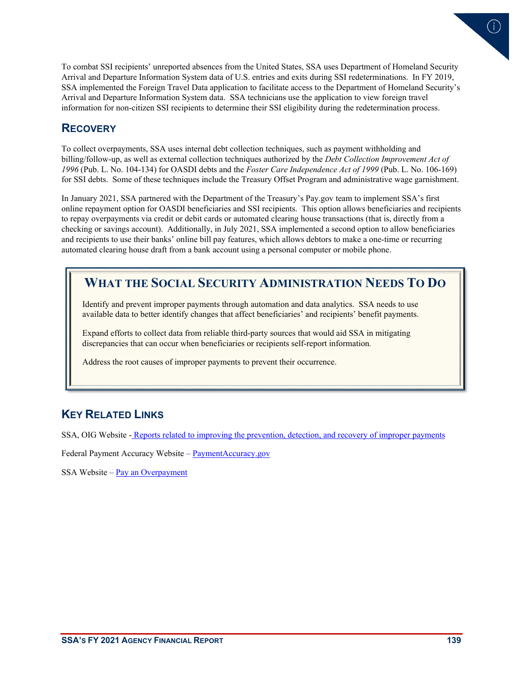

To combat SSI recipients' unreported absences from the United States, SSA uses Department of Homeland Security Arrival and Departure Information System data of U.S. entries and exits during SSI redeterminations. In FY 2019, SSA implemented the Foreign Travel Data application to facilitate access to the Department of Homeland Security's Arrival and Departure Information System data. SSA technicians use the application to view foreign travel information for non-citizen SSI recipients to determine their SSI eligibility during the redetermination process.

#### **RECOVERY**

To collect overpayments, SSA uses internal debt collection techniques, such as payment withholding and billing/follow-up, as well as external collection techniques authorized by the *Debt Collection Improvement Act of 1996* (Pub. L. No. 104-134) for OASDI debts and the *Foster Care Independence Act of 1999* (Pub. L. No. 106-169) for SSI debts. Some of these techniques include the Treasury Offset Program and administrative wage garnishment.

In January 2021, SSA partnered with the Department of the Treasury's Pay.gov team to implement SSA's first online repayment option for OASDI beneficiaries and SSI recipients. This option allows beneficiaries and recipients to repay overpayments via credit or debit cards or automated clearing house transactions (that is, directly from a checking or savings account). Additionally, in July 2021, SSA implemented a second option to allow beneficiaries and recipients to use their banks' online bill pay features, which allows debtors to make a one-time or recurring automated clearing house draft from a bank account using a personal computer or mobile phone.

## **WHAT THE SOCIAL SECURITY ADMINISTRATION NEEDS TO DO**

Identify and prevent improper payments through automation and data analytics. SSA needs to use available data to better identify changes that affect beneficiaries' and recipients' benefit payments.

Expand efforts to collect data from reliable third-party sources that would aid SSA in mitigating discrepancies that can occur when beneficiaries or recipients self-report information.

Address the root causes of improper payments to prevent their occurrence.

### **KEY RELATED LINKS**

SSA, OIG Website - [Reports related to improving the prevention, detection, and recovery of improper payments](https://oig.ssa.gov/audit-reports/improve-prevention-improper-payments/) 

[Federal Payment Accuracy Website](https://paymentaccuracy.gov/) – PaymentAccuracy.gov

SSA Website [– Pay an Overpayment](https://www.ssa.gov/overpayments/)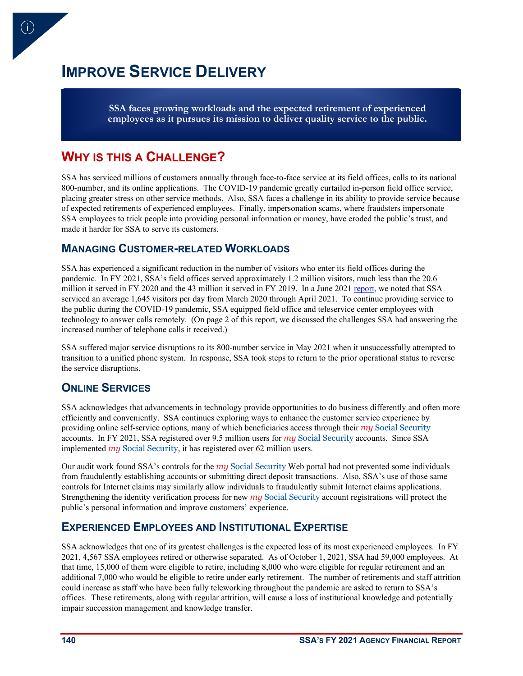# **IMPROVE SERVICE DELIVERY**

**SSA faces growing workloads and the expected retirement of experienced employees as it pursues its mission to deliver quality service to the public.**

## **WHY IS THIS A CHALLENGE?**

 $(i)$ 

SSA has serviced millions of customers annually through face-to-face service at its field offices, calls to its national 800-number, and its online applications. The COVID-19 pandemic greatly curtailed in-person field office service, placing greater stress on other service methods. Also, SSA faces a challenge in its ability to provide service because of expected retirements of experienced employees. Finally, impersonation scams, where fraudsters impersonate SSA employees to trick people into providing personal information or money, have eroded the public's trust, and made it harder for SSA to serve its customers.

#### **MANAGING CUSTOMER-RELATED WORKLOADS**

SSA has experienced a significant reduction in the number of visitors who enter its field offices during the pandemic. In FY 2021, SSA's field offices served approximately 1.2 million visitors, much less than the 20.6 million it served in FY 2020 and the 43 million it served in FY 2019. In a June 202[1 report,](https://oig.ssa.gov/audit-reports/2021-06-17-audits-and-investigations-audit-reports-A-15-20-51001/) we noted that SSA serviced an average 1,645 visitors per day from March 2020 through April 2021. To continue providing service to the public during the COVID-19 pandemic, SSA equipped field office and teleservice center employees with technology to answer calls remotely. (On page 2 of this report, we discussed the challenges SSA had answering the increased number of telephone calls it received.)

SSA suffered major service disruptions to its 800-number service in May 2021 when it unsuccessfully attempted to transition to a unified phone system. In response, SSA took steps to return to the prior operational status to reverse the service disruptions.

#### **ONLINE SERVICES**

SSA acknowledges that advancements in technology provide opportunities to do business differently and often more efficiently and conveniently. SSA continues exploring ways to enhance the customer service experience by providing online self-service options, many of which beneficiaries access through their *my* Social Security accounts. In FY 2021, SSA registered over 9.5 million users for *my* Social Security accounts. Since SSA implemented *my* Social Security, it has registered over 62 million users.

Our audit work found SSA's controls for the *my* Social Security Web portal had not prevented some individuals from fraudulently establishing accounts or submitting direct deposit transactions. Also, SSA's use of those same controls for Internet claims may similarly allow individuals to fraudulently submit Internet claims applications. Strengthening the identity verification process for new *my* Social Security account registrations will protect the public's personal information and improve customers' experience.

#### **EXPERIENCED EMPLOYEES AND INSTITUTIONAL EXPERTISE**

SSA acknowledges that one of its greatest challenges is the expected loss of its most experienced employees. In FY 2021, 4,567 SSA employees retired or otherwise separated. As of October 1, 2021, SSA had 59,000 employees. At that time, 15,000 of them were eligible to retire, including 8,000 who were eligible for regular retirement and an additional 7,000 who would be eligible to retire under early retirement. The number of retirements and staff attrition could increase as staff who have been fully teleworking throughout the pandemic are asked to return to SSA's offices. These retirements, along with regular attrition, will cause a loss of institutional knowledge and potentially impair succession management and knowledge transfer.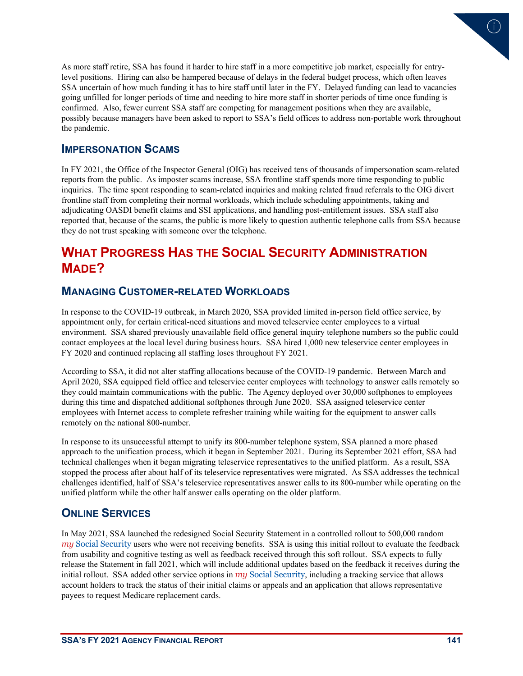

As more staff retire, SSA has found it harder to hire staff in a more competitive job market, especially for entrylevel positions. Hiring can also be hampered because of delays in the federal budget process, which often leaves SSA uncertain of how much funding it has to hire staff until later in the FY. Delayed funding can lead to vacancies going unfilled for longer periods of time and needing to hire more staff in shorter periods of time once funding is confirmed. Also, fewer current SSA staff are competing for management positions when they are available, possibly because managers have been asked to report to SSA's field offices to address non-portable work throughout the pandemic.

#### **IMPERSONATION SCAMS**

In FY 2021, the Office of the Inspector General (OIG) has received tens of thousands of impersonation scam-related reports from the public. As imposter scams increase, SSA frontline staff spends more time responding to public inquiries. The time spent responding to scam-related inquiries and making related fraud referrals to the OIG divert frontline staff from completing their normal workloads, which include scheduling appointments, taking and adjudicating OASDI benefit claims and SSI applications, and handling post-entitlement issues. SSA staff also reported that, because of the scams, the public is more likely to question authentic telephone calls from SSA because they do not trust speaking with someone over the telephone.

# **WHAT PROGRESS HAS THE SOCIAL SECURITY ADMINISTRATION MADE?**

#### **MANAGING CUSTOMER-RELATED WORKLOADS**

In response to the COVID-19 outbreak, in March 2020, SSA provided limited in-person field office service, by appointment only, for certain critical-need situations and moved teleservice center employees to a virtual environment. SSA shared previously unavailable field office general inquiry telephone numbers so the public could contact employees at the local level during business hours. SSA hired 1,000 new teleservice center employees in FY 2020 and continued replacing all staffing loses throughout FY 2021.

According to SSA, it did not alter staffing allocations because of the COVID-19 pandemic. Between March and April 2020, SSA equipped field office and teleservice center employees with technology to answer calls remotely so they could maintain communications with the public. The Agency deployed over 30,000 softphones to employees during this time and dispatched additional softphones through June 2020. SSA assigned teleservice center employees with Internet access to complete refresher training while waiting for the equipment to answer calls remotely on the national 800-number.

In response to its unsuccessful attempt to unify its 800-number telephone system, SSA planned a more phased approach to the unification process, which it began in September 2021. During its September 2021 effort, SSA had technical challenges when it began migrating teleservice representatives to the unified platform. As a result, SSA stopped the process after about half of its teleservice representatives were migrated. As SSA addresses the technical challenges identified, half of SSA's teleservice representatives answer calls to its 800-number while operating on the unified platform while the other half answer calls operating on the older platform.

#### **ONLINE SERVICES**

In May 2021, SSA launched the redesigned Social Security Statement in a controlled rollout to 500,000 random *my* Social Security users who were not receiving benefits. SSA is using this initial rollout to evaluate the feedback from usability and cognitive testing as well as feedback received through this soft rollout. SSA expects to fully release the Statement in fall 2021, which will include additional updates based on the feedback it receives during the initial rollout. SSA added other service options in *my* Social Security, including a tracking service that allows account holders to track the status of their initial claims or appeals and an application that allows representative payees to request Medicare replacement cards.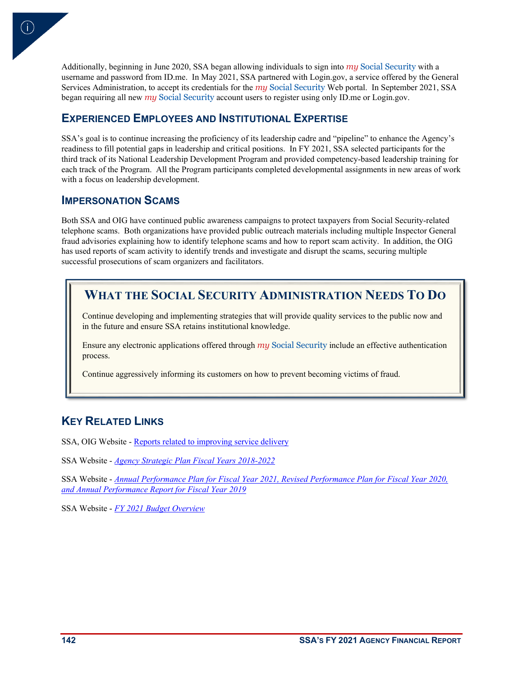Additionally, beginning in June 2020, SSA began allowing individuals to sign into *my* Social Security with a username and password from ID.me. In May 2021, SSA partnered with Login.gov, a service offered by the General Services Administration, to accept its credentials for the *my* Social Security Web portal. In September 2021, SSA began requiring all new *my* Social Security account users to register using only ID.me or Login.gov.

#### **EXPERIENCED EMPLOYEES AND INSTITUTIONAL EXPERTISE**

SSA's goal is to continue increasing the proficiency of its leadership cadre and "pipeline" to enhance the Agency's readiness to fill potential gaps in leadership and critical positions. In FY 2021, SSA selected participants for the third track of its National Leadership Development Program and provided competency-based leadership training for each track of the Program. All the Program participants completed developmental assignments in new areas of work with a focus on leadership development.

#### **IMPERSONATION SCAMS**

 $\mathsf{i}$ )

Both SSA and OIG have continued public awareness campaigns to protect taxpayers from Social Security-related telephone scams. Both organizations have provided public outreach materials including multiple Inspector General fraud advisories explaining how to identify telephone scams and how to report scam activity. In addition, the OIG has used reports of scam activity to identify trends and investigate and disrupt the scams, securing multiple successful prosecutions of scam organizers and facilitators.

# **WHAT THE SOCIAL SECURITY ADMINISTRATION NEEDS TO DO**

Continue developing and implementing strategies that will provide quality services to the public now and in the future and ensure SSA retains institutional knowledge.

Ensure any electronic applications offered through my Social Security include an effective authentication process.

Continue aggressively informing its customers on how to prevent becoming victims of fraud.

### **KEY RELATED LINKS**

SSA, OIG Website [- Reports related to improving service delivery](https://oig.ssa.gov/audit-reports/improve-service-delivery/)

SSA Website - *[Agency Strategic Plan Fiscal Years 2018-2022](https://www.ssa.gov/budget/FY19Files/Agency%20Strategic%20Plan.pdf)*

SSA Website - *[Annual Performance Plan for Fiscal Year 2021, Revised Performance Plan for Fiscal Year 2020,](https://www.ssa.gov/agency/performance/materials/2020/SSA_FY_2019-2021_Annual_Performance_Report_020520_FINAL-COSS_Signed.pdf)  [and Annual Performance Report for Fiscal Year 2019](https://www.ssa.gov/agency/performance/materials/2020/SSA_FY_2019-2021_Annual_Performance_Report_020520_FINAL-COSS_Signed.pdf)*

SSA Website - *[FY 2021 Budget Overview](https://www.ssa.gov/budget/FY21Files/2021BO.pdf)*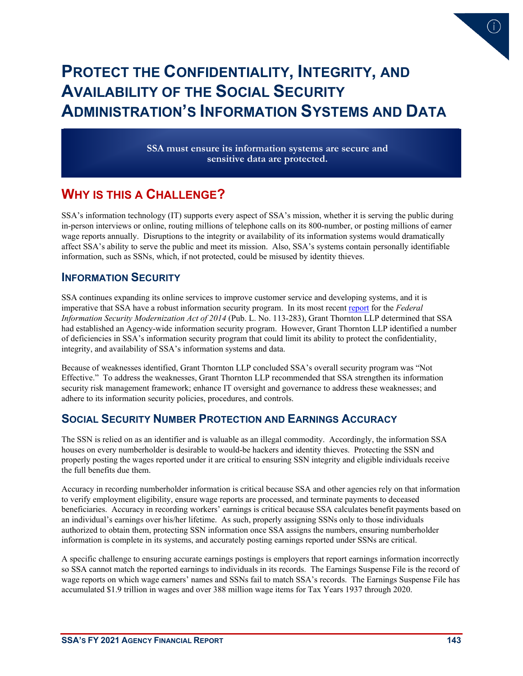

# **PROTECT THE CONFIDENTIALITY, INTEGRITY, AND AVAILABILITY OF THE SOCIAL SECURITY ADMINISTRATION'S INFORMATION SYSTEMS AND DATA**

**SSA must ensure its information systems are secure and sensitive data are protected.**

# **WHY IS THIS A CHALLENGE?**

SSA's information technology (IT) supports every aspect of SSA's mission, whether it is serving the public during in-person interviews or online, routing millions of telephone calls on its 800-number, or posting millions of earner wage reports annually. Disruptions to the integrity or availability of its information systems would dramatically affect SSA's ability to serve the public and meet its mission. Also, SSA's systems contain personally identifiable information, such as SSNs, which, if not protected, could be misused by identity thieves.

#### **INFORMATION SECURITY**

SSA continues expanding its online services to improve customer service and developing systems, and it is imperative that SSA have a robust information security program. In its most recent [report](https://oig.ssa.gov/audit-reports/2021-10-22-the-social-security-administrations-information-security-program-and-practices-for-fiscal-year-2021/) for the *Federal Information Security Modernization Act of 2014* (Pub. L. No. 113-283), Grant Thornton LLP determined that SSA had established an Agency-wide information security program. However, Grant Thornton LLP identified a number of deficiencies in SSA's information security program that could limit its ability to protect the confidentiality, integrity, and availability of SSA's information systems and data.

Because of weaknesses identified, Grant Thornton LLP concluded SSA's overall security program was "Not Effective." To address the weaknesses, Grant Thornton LLP recommended that SSA strengthen its information security risk management framework; enhance IT oversight and governance to address these weaknesses; and adhere to its information security policies, procedures, and controls.

#### **SOCIAL SECURITY NUMBER PROTECTION AND EARNINGS ACCURACY**

The SSN is relied on as an identifier and is valuable as an illegal commodity. Accordingly, the information SSA houses on every numberholder is desirable to would-be hackers and identity thieves. Protecting the SSN and properly posting the wages reported under it are critical to ensuring SSN integrity and eligible individuals receive the full benefits due them.

Accuracy in recording numberholder information is critical because SSA and other agencies rely on that information to verify employment eligibility, ensure wage reports are processed, and terminate payments to deceased beneficiaries. Accuracy in recording workers' earnings is critical because SSA calculates benefit payments based on an individual's earnings over his/her lifetime. As such, properly assigning SSNs only to those individuals authorized to obtain them, protecting SSN information once SSA assigns the numbers, ensuring numberholder information is complete in its systems, and accurately posting earnings reported under SSNs are critical.

A specific challenge to ensuring accurate earnings postings is employers that report earnings information incorrectly so SSA cannot match the reported earnings to individuals in its records. The Earnings Suspense File is the record of wage reports on which wage earners' names and SSNs fail to match SSA's records. The Earnings Suspense File has accumulated \$1.9 trillion in wages and over 388 million wage items for Tax Years 1937 through 2020.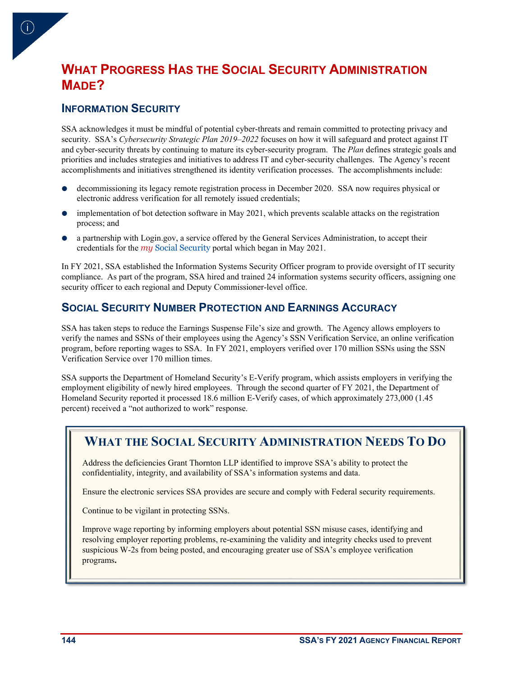# **WHAT PROGRESS HAS THE SOCIAL SECURITY ADMINISTRATION MADE?**

### **INFORMATION SECURITY**

 $\vert$ i)

SSA acknowledges it must be mindful of potential cyber-threats and remain committed to protecting privacy and security. SSA's *Cybersecurity Strategic Plan 2019–2022* focuses on how it will safeguard and protect against IT and cyber-security threats by continuing to mature its cyber-security program. The *Plan* defines strategic goals and priorities and includes strategies and initiatives to address IT and cyber-security challenges. The Agency's recent accomplishments and initiatives strengthened its identity verification processes. The accomplishments include:

- decommissioning its legacy remote registration process in December 2020. SSA now requires physical or electronic address verification for all remotely issued credentials;
- implementation of bot detection software in May 2021, which prevents scalable attacks on the registration process; and
- a partnership with Login.gov, a service offered by the General Services Administration, to accept their credentials for the *my* Social Security portal which began in May 2021.

In FY 2021, SSA established the Information Systems Security Officer program to provide oversight of IT security compliance. As part of the program, SSA hired and trained 24 information systems security officers, assigning one security officer to each regional and Deputy Commissioner-level office.

#### **SOCIAL SECURITY NUMBER PROTECTION AND EARNINGS ACCURACY**

SSA has taken steps to reduce the Earnings Suspense File's size and growth. The Agency allows employers to verify the names and SSNs of their employees using the Agency's SSN Verification Service, an online verification program, before reporting wages to SSA. In FY 2021, employers verified over 170 million SSNs using the SSN Verification Service over 170 million times.

SSA supports the Department of Homeland Security's E-Verify program, which assists employers in verifying the employment eligibility of newly hired employees. Through the second quarter of FY 2021, the Department of Homeland Security reported it processed 18.6 million E-Verify cases, of which approximately 273,000 (1.45 percent) received a "not authorized to work" response.

# **WHAT THE SOCIAL SECURITY ADMINISTRATION NEEDS TO DO**

Address the deficiencies Grant Thornton LLP identified to improve SSA's ability to protect the confidentiality, integrity, and availability of SSA's information systems and data.

Ensure the electronic services SSA provides are secure and comply with Federal security requirements.

Continue to be vigilant in protecting SSNs.

Improve wage reporting by informing employers about potential SSN misuse cases, identifying and resolving employer reporting problems, re-examining the validity and integrity checks used to prevent suspicious W-2s from being posted, and encouraging greater use of SSA's employee verification programs.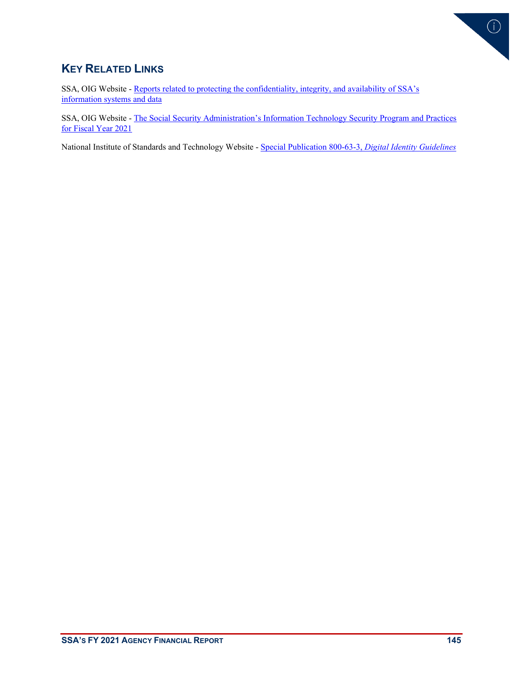

### **KEY RELATED LINKS**

SSA, OIG Website [- Reports related to protecting the confidentiality, integrity, and availability of SSA's](https://oig.ssa.gov/audit-reports/protect-cia-of-information-systems/)  [information systems and data](https://oig.ssa.gov/audit-reports/protect-cia-of-information-systems/)

SSA, OIG Website [- The Social Security Administration's Information Technology Security Program and Practices](https://oig.ssa.gov/assets/uploads/a-14-20-50958summary.pdf)  [for Fiscal Year 2021](https://oig.ssa.gov/assets/uploads/a-14-20-50958summary.pdf)

National Institute of Standards and Technology Website - [Special Publication 800-63-3,](https://pages.nist.gov/800-63-3/sp800-63-3.html) *Digital Identity Guidelines*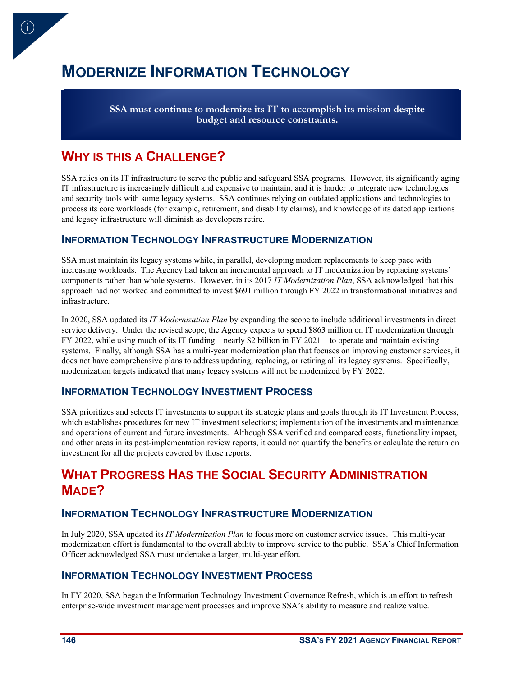# **MODERNIZE INFORMATION TECHNOLOGY**

**SSA must continue to modernize its IT to accomplish its mission despite budget and resource constraints.**

### **WHY IS THIS A CHALLENGE?**

 $\Gamma$ 

SSA relies on its IT infrastructure to serve the public and safeguard SSA programs. However, its significantly aging IT infrastructure is increasingly difficult and expensive to maintain, and it is harder to integrate new technologies and security tools with some legacy systems. SSA continues relying on outdated applications and technologies to process its core workloads (for example, retirement, and disability claims), and knowledge of its dated applications and legacy infrastructure will diminish as developers retire.

#### **INFORMATION TECHNOLOGY INFRASTRUCTURE MODERNIZATION**

SSA must maintain its legacy systems while, in parallel, developing modern replacements to keep pace with increasing workloads. The Agency had taken an incremental approach to IT modernization by replacing systems' components rather than whole systems. However, in its 2017 *IT Modernization Plan*, SSA acknowledged that this approach had not worked and committed to invest \$691 million through FY 2022 in transformational initiatives and infrastructure.

In 2020, SSA updated its *IT Modernization Plan* by expanding the scope to include additional investments in direct service delivery. Under the revised scope, the Agency expects to spend \$863 million on IT modernization through FY 2022, while using much of its IT funding—nearly \$2 billion in FY 2021—to operate and maintain existing systems. Finally, although SSA has a multi-year modernization plan that focuses on improving customer services, it does not have comprehensive plans to address updating, replacing, or retiring all its legacy systems. Specifically, modernization targets indicated that many legacy systems will not be modernized by FY 2022.

#### **INFORMATION TECHNOLOGY INVESTMENT PROCESS**

SSA prioritizes and selects IT investments to support its strategic plans and goals through its IT Investment Process, which establishes procedures for new IT investment selections; implementation of the investments and maintenance; and operations of current and future investments. Although SSA verified and compared costs, functionality impact, and other areas in its post-implementation review reports, it could not quantify the benefits or calculate the return on investment for all the projects covered by those reports.

# **WHAT PROGRESS HAS THE SOCIAL SECURITY ADMINISTRATION MADE?**

#### **INFORMATION TECHNOLOGY INFRASTRUCTURE MODERNIZATION**

In July 2020, SSA updated its *IT Modernization Plan* to focus more on customer service issues. This multi-year modernization effort is fundamental to the overall ability to improve service to the public. SSA's Chief Information Officer acknowledged SSA must undertake a larger, multi-year effort.

#### **INFORMATION TECHNOLOGY INVESTMENT PROCESS**

In FY 2020, SSA began the Information Technology Investment Governance Refresh, which is an effort to refresh enterprise-wide investment management processes and improve SSA's ability to measure and realize value.